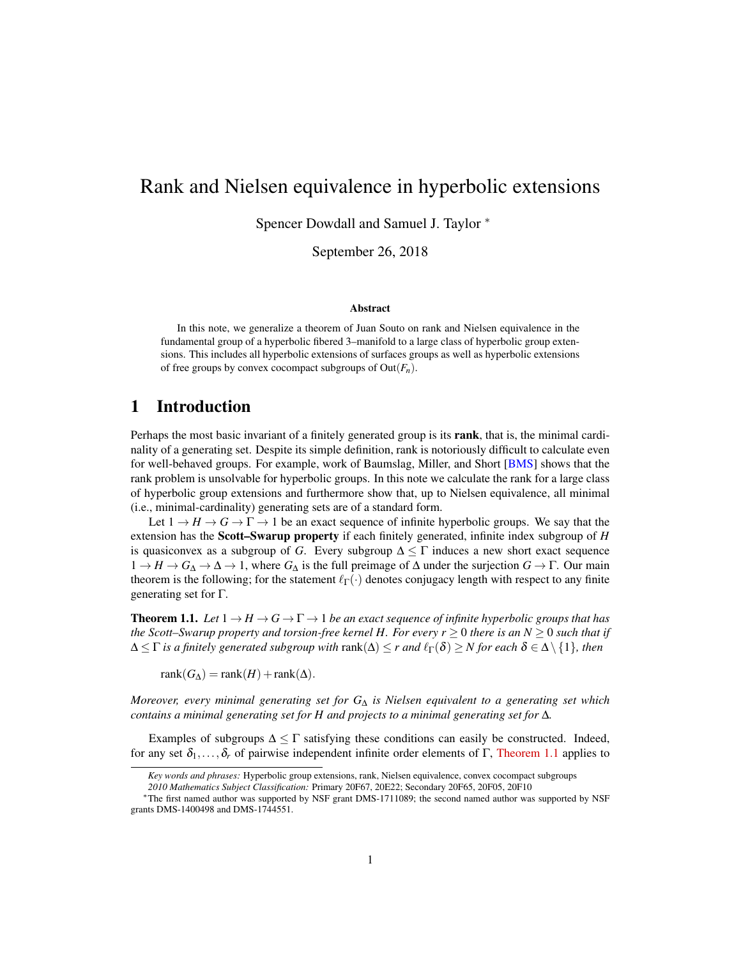# Rank and Nielsen equivalence in hyperbolic extensions

Spencer Dowdall and Samuel J. Taylor <sup>∗</sup>

September 26, 2018

#### Abstract

In this note, we generalize a theorem of Juan Souto on rank and Nielsen equivalence in the fundamental group of a hyperbolic fibered 3–manifold to a large class of hyperbolic group extensions. This includes all hyperbolic extensions of surfaces groups as well as hyperbolic extensions of free groups by convex cocompact subgroups of Out(*Fn*).

## 1 Introduction

Perhaps the most basic invariant of a finitely generated group is its rank, that is, the minimal cardinality of a generating set. Despite its simple definition, rank is notoriously difficult to calculate even for well-behaved groups. For example, work of Baumslag, Miller, and Short [\[BMS\]](#page-7-0) shows that the rank problem is unsolvable for hyperbolic groups. In this note we calculate the rank for a large class of hyperbolic group extensions and furthermore show that, up to Nielsen equivalence, all minimal (i.e., minimal-cardinality) generating sets are of a standard form.

Let  $1 \rightarrow H \rightarrow G \rightarrow \Gamma \rightarrow 1$  be an exact sequence of infinite hyperbolic groups. We say that the extension has the Scott–Swarup property if each finitely generated, infinite index subgroup of *H* is quasiconvex as a subgroup of *G*. Every subgroup  $\Delta \leq \Gamma$  induces a new short exact sequence  $1 \to H \to G_{\Delta} \to \Delta \to 1$ , where  $G_{\Delta}$  is the full preimage of  $\Delta$  under the surjection  $G \to \Gamma$ . Our main theorem is the following; for the statement  $\ell_{\Gamma}(\cdot)$  denotes conjugacy length with respect to any finite generating set for Γ.

<span id="page-0-0"></span>**Theorem 1.1.** Let  $1 \rightarrow H \rightarrow G \rightarrow \Gamma \rightarrow 1$  be an exact sequence of infinite hyperbolic groups that has *the Scott–Swarup property and torsion-free kernel H. For every*  $r \geq 0$  *there is an N*  $\geq 0$  *such that if*  $\Delta \leq \Gamma$  *is a finitely generated subgroup with*  $rank(\Delta) \leq r$  *and*  $\ell_{\Gamma}(\delta) \geq N$  *for each*  $\delta \in \Delta \setminus \{1\}$ *, then* 

 $rank(G_{\Delta}) = rank(H) + rank(\Delta).$ 

*Moreover, every minimal generating set for G*<sup>∆</sup> *is Nielsen equivalent to a generating set which contains a minimal generating set for H and projects to a minimal generating set for* ∆*.*

Examples of subgroups  $\Delta \leq \Gamma$  satisfying these conditions can easily be constructed. Indeed, for any set  $\delta_1,\ldots,\delta_r$  of pairwise independent infinite order elements of Γ, [Theorem 1.1](#page-0-0) applies to

*Key words and phrases:* Hyperbolic group extensions, rank, Nielsen equivalence, convex cocompact subgroups

*<sup>2010</sup> Mathematics Subject Classification:* Primary 20F67, 20E22; Secondary 20F65, 20F05, 20F10

<sup>∗</sup>The first named author was supported by NSF grant DMS-1711089; the second named author was supported by NSF grants DMS-1400498 and DMS-1744551.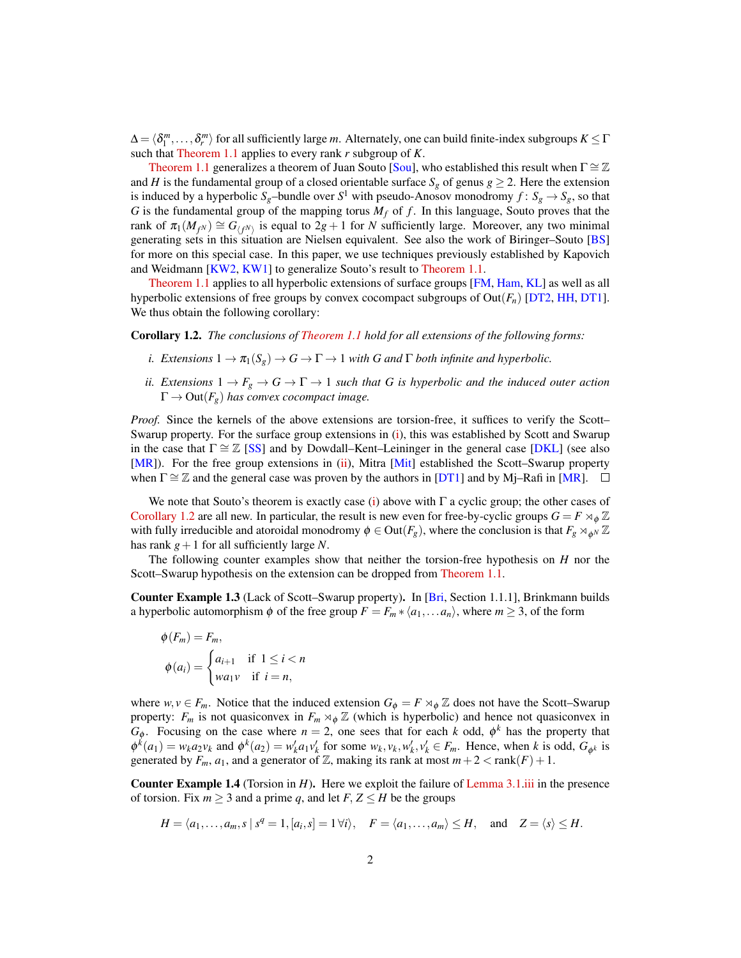$\Delta = \langle \delta^m_1, \ldots, \delta^m_r \rangle$  for all sufficiently large *m*. Alternately, one can build finite-index subgroups  $K \leq \Gamma$ such that [Theorem 1.1](#page-0-0) applies to every rank *r* subgroup of *K*.

[Theorem 1.1](#page-0-0) generalizes a theorem of Juan Souto [\[Sou\]](#page-9-0), who established this result when  $\Gamma \cong \mathbb{Z}$ and *H* is the fundamental group of a closed orientable surface  $S_g$  of genus  $g \ge 2$ . Here the extension is induced by a hyperbolic  $S_g$ –bundle over  $S^1$  with pseudo-Anosov monodromy  $f: S_g \to S_g$ , so that *G* is the fundamental group of the mapping torus  $M_f$  of  $f$ . In this language, Souto proves that the rank of  $\pi_1(M_{f^N}) \cong G_{(f^N)}$  is equal to  $2g + 1$  for *N* sufficiently large. Moreover, any two minimal generating sets in this situation are Nielsen equivalent. See also the work of Biringer–Souto [\[BS\]](#page-8-0) for more on this special case. In this paper, we use techniques previously established by Kapovich and Weidmann [\[KW2,](#page-8-1) [KW1\]](#page-8-2) to generalize Souto's result to [Theorem 1.1.](#page-0-0)

[Theorem 1.1](#page-0-0) applies to all hyperbolic extensions of surface groups [\[FM,](#page-8-3) [Ham,](#page-8-4) [KL\]](#page-8-5) as well as all hyperbolic extensions of free groups by convex cocompact subgroups of Out(*Fn*) [\[DT2,](#page-8-6) [HH,](#page-8-7) [DT1\]](#page-8-8). We thus obtain the following corollary:

<span id="page-1-2"></span><span id="page-1-0"></span>Corollary 1.2. *The conclusions of [Theorem 1.1](#page-0-0) hold for all extensions of the following forms:*

- *i. Extensions*  $1 \to \pi_1(S_g) \to G \to \Gamma \to 1$  *with G* and  $\Gamma$  *both infinite and hyperbolic.*
- <span id="page-1-1"></span>*ii. Extensions*  $1 \rightarrow F_g \rightarrow G \rightarrow \Gamma \rightarrow 1$  *such that G is hyperbolic and the induced outer action*  $\Gamma \rightarrow Out(F_g)$  *has convex cocompact image.*

*Proof.* Since the kernels of the above extensions are torsion-free, it suffices to verify the Scott– Swarup property. For the surface group extensions in [\(i\)](#page-1-0), this was established by Scott and Swarup in the case that  $\Gamma \cong \mathbb{Z}$  [\[SS\]](#page-9-1) and by Dowdall–Kent–Leininger in the general case [\[DKL\]](#page-8-9) (see also [\[MR\]](#page-9-2)). For the free group extensions in [\(ii\)](#page-1-1), Mitra [\[Mit\]](#page-8-10) established the Scott–Swarup property when  $\Gamma \cong \mathbb{Z}$  and the general case was proven by the authors in [\[DT1\]](#page-8-8) and by Mj–Rafi in [\[MR\]](#page-9-2).  $\Box$ 

We note that Souto's theorem is exactly case [\(i\)](#page-1-0) above with  $\Gamma$  a cyclic group; the other cases of [Corollary 1.2](#page-1-2) are all new. In particular, the result is new even for free-by-cyclic groups  $G = F \rtimes_{\phi} \mathbb{Z}$ with fully irreducible and atoroidal monodromy  $\phi \in Out(F_g)$ , where the conclusion is that  $F_g \rtimes_{\phi^N} \mathbb{Z}$ has rank  $g+1$  for all sufficiently large N.

The following counter examples show that neither the torsion-free hypothesis on *H* nor the Scott–Swarup hypothesis on the extension can be dropped from [Theorem 1.1.](#page-0-0)

Counter Example 1.3 (Lack of Scott–Swarup property). In [\[Bri,](#page-8-11) Section 1.1.1], Brinkmann builds a hyperbolic automorphism  $\phi$  of the free group  $F = F_m * \langle a_1, \ldots, a_n \rangle$ , where  $m \geq 3$ , of the form

$$
\phi(F_m) = F_m,
$$
  
\n
$$
\phi(a_i) = \begin{cases} a_{i+1} & \text{if } 1 \le i < n \\ wa_1v & \text{if } i = n, \end{cases}
$$

where  $w, v \in F_m$ . Notice that the induced extension  $G_{\phi} = F \rtimes_{\phi} \mathbb{Z}$  does not have the Scott–Swarup property:  $F_m$  is not quasiconvex in  $F_m \rtimes_{\phi} \mathbb{Z}$  (which is hyperbolic) and hence not quasiconvex in *G*<sub> $\phi$ </sub>. Focusing on the case where  $n = 2$ , one sees that for each *k* odd,  $\phi^k$  has the property that  $\phi^k(a_1) = w_k a_2 v_k$  and  $\phi^k(a_2) = w'_k a_1 v'_k$  for some  $w_k, v_k, w'_k, v'_k \in F_m$ . Hence, when k is odd,  $G_{\phi^k}$  is generated by  $F_m$ ,  $a_1$ , and a generator of  $\mathbb{Z}$ , making its rank at most  $m+2 < \text{rank}(F) + 1$ .

Counter Example 1.4 (Torsion in *H*). Here we exploit the failure of [Lemma 3.1](#page-5-0)[.iii](#page-5-1) in the presence of torsion. Fix  $m \geq 3$  and a prime q, and let  $F, Z \leq H$  be the groups

$$
H = \langle a_1, \ldots, a_m, s \mid s^q = 1, [a_i, s] = 1 \forall i \rangle, \quad F = \langle a_1, \ldots, a_m \rangle \le H, \quad \text{and} \quad Z = \langle s \rangle \le H.
$$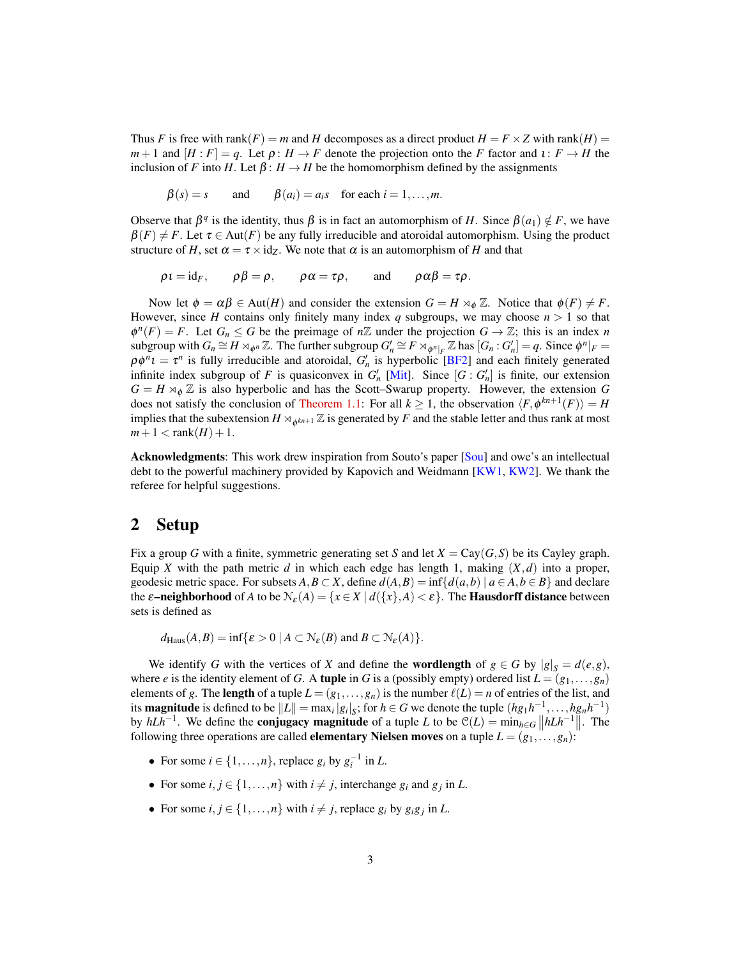Thus *F* is free with rank(*F*) = *m* and *H* decomposes as a direct product  $H = F \times Z$  with rank(*H*) =  $m+1$  and  $[H: F] = q$ . Let  $\rho: H \to F$  denote the projection onto the *F* factor and  $\iota: F \to H$  the inclusion of *F* into *H*. Let  $\beta$ :  $H \rightarrow H$  be the homomorphism defined by the assignments

$$
\beta(s) = s
$$
 and  $\beta(a_i) = a_i s$  for each  $i = 1, ..., m$ .

Observe that  $β<sup>q</sup>$  is the identity, thus  $β$  is in fact an automorphism of *H*. Since  $β(a<sub>1</sub>) ∉ F$ , we have  $\beta(F) \neq F$ . Let  $\tau \in Aut(F)$  be any fully irreducible and atoroidal automorphism. Using the product structure of *H*, set  $\alpha = \tau \times id_z$ . We note that  $\alpha$  is an automorphism of *H* and that

$$
\rho \iota = id_F
$$
,  $\rho \beta = \rho$ ,  $\rho \alpha = \tau \rho$ , and  $\rho \alpha \beta = \tau \rho$ .

Now let  $\phi = \alpha \beta \in Aut(H)$  and consider the extension  $G = H \rtimes_{\phi} \mathbb{Z}$ . Notice that  $\phi(F) \neq F$ . However, since *H* contains only finitely many index *q* subgroups, we may choose  $n > 1$  so that  $\phi^{n}(F) = F$ . Let  $G_n \leq G$  be the preimage of  $n\mathbb{Z}$  under the projection  $G \to \mathbb{Z}$ ; this is an index *n* subgroup with  $G_n \cong H \rtimes_{\phi^n} \mathbb{Z}$ . The further subgroup  $G'_n \cong F \rtimes_{\phi^n|_F} \mathbb{Z}$  has  $[G_n : G'_n] = q$ . Since  $\phi^n|_F =$  $\rho \phi^n i = \tau^n$  is fully irreducible and atoroidal,  $G'_n$  is hyperbolic [\[BF2\]](#page-7-1) and each finitely generated infinite index subgroup of *F* is quasiconvex in  $G'_{n}$  [\[Mit\]](#page-8-10). Since  $[G: G'_{n}]$  is finite, our extension  $G = H \rtimes_{\phi} \mathbb{Z}$  is also hyperbolic and has the Scott–Swarup property. However, the extension *G* does not satisfy the conclusion of [Theorem 1.1:](#page-0-0) For all  $k \ge 1$ , the observation  $\langle F, \phi^{kn+1}(F) \rangle = H$ implies that the subextension  $H \rtimes_{\phi^{kn+1}} \mathbb{Z}$  is generated by *F* and the stable letter and thus rank at most  $m+1 <$ rank $(H) + 1$ .

Acknowledgments: This work drew inspiration from Souto's paper [\[Sou\]](#page-9-0) and owe's an intellectual debt to the powerful machinery provided by Kapovich and Weidmann [\[KW1,](#page-8-2) [KW2\]](#page-8-1). We thank the referee for helpful suggestions.

### 2 Setup

Fix a group *G* with a finite, symmetric generating set *S* and let  $X = \text{Cay}(G, S)$  be its Cayley graph. Equip *X* with the path metric *d* in which each edge has length 1, making  $(X,d)$  into a proper, geodesic metric space. For subsets  $A, B \subset X$ , define  $d(A, B) = \inf \{d(a, b) | a \in A, b \in B\}$  and declare the  $\varepsilon$ **–neighborhood** of *A* to be  $\mathcal{N}_{\varepsilon}(A) = \{x \in X \mid d(\{x\},A) < \varepsilon\}$ . The **Hausdorff distance** between sets is defined as

$$
d_{\text{Haus}}(A,B) = \inf \{ \varepsilon > 0 \mid A \subset \mathcal{N}_{\varepsilon}(B) \text{ and } B \subset \mathcal{N}_{\varepsilon}(A) \}.
$$

We identify *G* with the vertices of *X* and define the **wordlength** of  $g \in G$  by  $|g|_S = d(e,g)$ , where *e* is the identity element of *G*. A tuple in *G* is a (possibly empty) ordered list  $L = (g_1, \ldots, g_n)$ elements of *g*. The length of a tuple  $L = (g_1, \ldots, g_n)$  is the number  $\ell(L) = n$  of entries of the list, and its **magnitude** is defined to be  $||L|| = \max_i |g_i|_S$ ; for  $h \in G$  we denote the tuple  $(hg_1h^{-1}, \ldots, hg_nh^{-1})$ by  $hLh^{-1}$ . We define the **conjugacy magnitude** of a tuple *L* to be  $\mathcal{C}(L) = \min_{h \in G} ||hLh^{-1}||$ . The following three operations are called **elementary Nielsen moves** on a tuple  $L = (g_1, \ldots, g_n)$ :

- For some  $i \in \{1, \ldots, n\}$ , replace  $g_i$  by  $g_i^{-1}$  in *L*.
- For some  $i, j \in \{1, \ldots, n\}$  with  $i \neq j$ , interchange  $g_i$  and  $g_j$  in *L*.
- For some  $i, j \in \{1, \ldots, n\}$  with  $i \neq j$ , replace  $g_i$  by  $g_i g_j$  in *L*.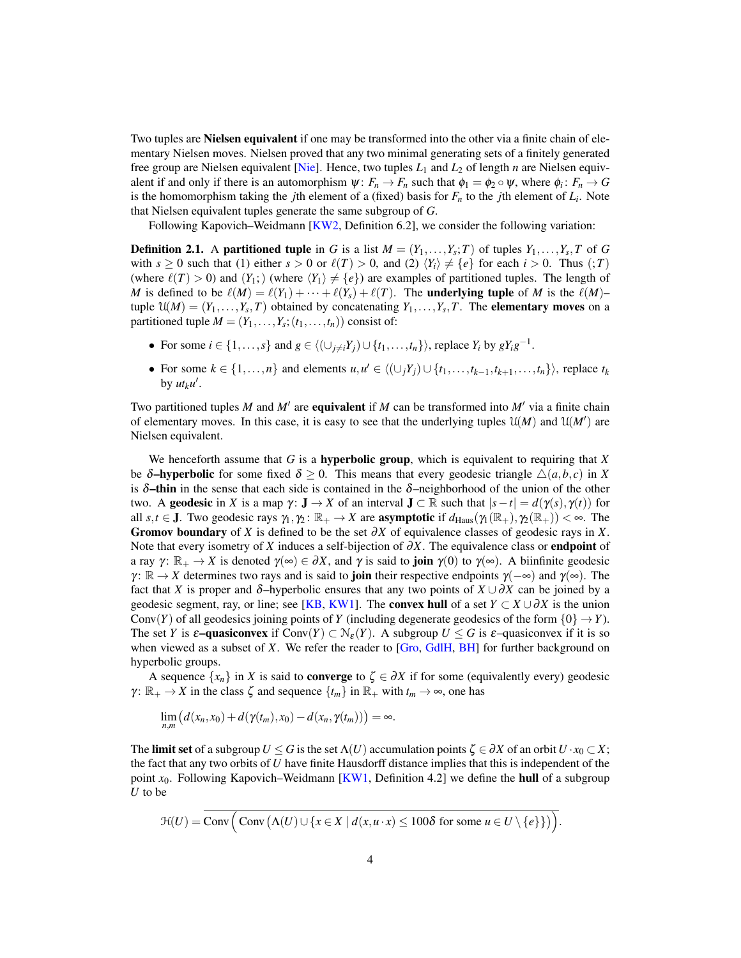Two tuples are Nielsen equivalent if one may be transformed into the other via a finite chain of elementary Nielsen moves. Nielsen proved that any two minimal generating sets of a finitely generated free group are Nielsen equivalent [\[Nie\]](#page-9-3). Hence, two tuples  $L_1$  and  $L_2$  of length *n* are Nielsen equivalent if and only if there is an automorphism  $\psi: F_n \to F_n$  such that  $\phi_1 = \phi_2 \circ \psi$ , where  $\phi_i: F_n \to G$ is the homomorphism taking the *j*th element of a (fixed) basis for *F<sup>n</sup>* to the *j*th element of *L<sup>i</sup>* . Note that Nielsen equivalent tuples generate the same subgroup of *G*.

Following Kapovich–Weidmann [\[KW2,](#page-8-1) Definition 6.2], we consider the following variation:

**Definition 2.1.** A partitioned tuple in *G* is a list  $M = (Y_1, \ldots, Y_s; T)$  of tuples  $Y_1, \ldots, Y_s, T$  of *G* with  $s \ge 0$  such that (1) either  $s > 0$  or  $\ell(T) > 0$ , and (2)  $\langle Y_i \rangle \neq \{e\}$  for each  $i > 0$ . Thus (;*T*) (where  $\ell(T) > 0$ ) and  $(Y_1;)$  (where  $\langle Y_1 \rangle \neq \{e\}$ ) are examples of partitioned tuples. The length of *M* is defined to be  $\ell(M) = \ell(Y_1) + \cdots + \ell(Y_s) + \ell(T)$ . The underlying tuple of *M* is the  $\ell(M)$ – tuple  $\mathfrak{U}(M) = (Y_1, \ldots, Y_s, T)$  obtained by concatenating  $Y_1, \ldots, Y_s, T$ . The **elementary moves** on a partitioned tuple  $M = (Y_1, \ldots, Y_s; (t_1, \ldots, t_n))$  consist of:

- For some  $i \in \{1, \ldots, s\}$  and  $g \in \langle (\cup_{j \neq i} Y_j) \cup \{t_1, \ldots, t_n\} \rangle$ , replace  $Y_i$  by  $gY_ig^{-1}$ .
- For some  $k \in \{1, \ldots, n\}$  and elements  $u, u' \in \langle (\cup_j Y_j) \cup \{t_1, \ldots, t_{k-1}, t_{k+1}, \ldots, t_n\} \rangle$ , replace  $t_k$ by  $ut_ku'$ .

Two partitioned tuples  $M$  and  $M'$  are **equivalent** if  $M$  can be transformed into  $M'$  via a finite chain of elementary moves. In this case, it is easy to see that the underlying tuples  $U(M)$  and  $U(M')$  are Nielsen equivalent.

We henceforth assume that *G* is a hyperbolic group, which is equivalent to requiring that *X* be  $\delta$ -hyperbolic for some fixed  $\delta > 0$ . This means that every geodesic triangle  $\Delta(a,b,c)$  in X is  $\delta$ –thin in the sense that each side is contained in the  $\delta$ –neighborhood of the union of the other two. A **geodesic** in *X* is a map  $\gamma: \mathbf{J} \to X$  of an interval  $\mathbf{J} \subset \mathbb{R}$  such that  $|s - t| = d(\gamma(s), \gamma(t))$  for all  $s, t \in J$ . Two geodesic rays  $\gamma_1, \gamma_2 : \mathbb{R}_+ \to X$  are **asymptotic** if  $d_{\text{Haus}}(\gamma_1(\mathbb{R}_+), \gamma_2(\mathbb{R}_+)) < \infty$ . The Gromov boundary of *X* is defined to be the set ∂*X* of equivalence classes of geodesic rays in *X*. Note that every isometry of *X* induces a self-bijection of  $\partial X$ . The equivalence class or **endpoint** of a ray  $\gamma: \mathbb{R}_+ \to X$  is denoted  $\gamma(\infty) \in \partial X$ , and  $\gamma$  is said to **join**  $\gamma(0)$  to  $\gamma(\infty)$ . A biinfinite geodesic  $\gamma: \mathbb{R} \to X$  determines two rays and is said to **join** their respective endpoints  $\gamma(-\infty)$  and  $\gamma(\infty)$ . The fact that *X* is proper and  $\delta$ –hyperbolic ensures that any two points of  $X \cup \partial X$  can be joined by a geodesic segment, ray, or line; see [\[KB,](#page-8-12) [KW1\]](#page-8-2). The convex hull of a set  $Y \subset X \cup \partial X$  is the union Conv(*Y*) of all geodesics joining points of *Y* (including degenerate geodesics of the form  $\{0\} \rightarrow Y$ ). The set *Y* is  $\varepsilon$ –quasiconvex if Conv $(Y) \subset \mathcal{N}_{\varepsilon}(Y)$ . A subgroup  $U \leq G$  is  $\varepsilon$ –quasiconvex if it is so when viewed as a subset of *X*. We refer the reader to [\[Gro,](#page-8-13) [GdlH,](#page-8-14) [BH\]](#page-7-2) for further background on hyperbolic groups.

A sequence  $\{x_n\}$  in *X* is said to **converge** to  $\zeta \in \partial X$  if for some (equivalently every) geodesic  $\gamma: \mathbb{R}_+ \to X$  in the class  $\zeta$  and sequence  $\{t_m\}$  in  $\mathbb{R}_+$  with  $t_m \to \infty$ , one has

$$
\lim_{n,m}\big(d(x_n,x_0)+d(\gamma(t_m),x_0)-d(x_n,\gamma(t_m))\big)=\infty.
$$

The limit set of a subgroup  $U \leq G$  is the set  $\Lambda(U)$  accumulation points  $\zeta \in \partial X$  of an orbit  $U \cdot x_0 \subset X$ ; the fact that any two orbits of *U* have finite Hausdorff distance implies that this is independent of the point *x*0. Following Kapovich–Weidmann [\[KW1,](#page-8-2) Definition 4.2] we define the hull of a subgroup *U* to be

$$
\mathcal{H}(U) = \text{Conv}\left(\text{Conv}\left(\Lambda(U) \cup \{x \in X \mid d(x, u \cdot x) \leq 100\delta \text{ for some } u \in U \setminus \{e\}\}\right)\right).
$$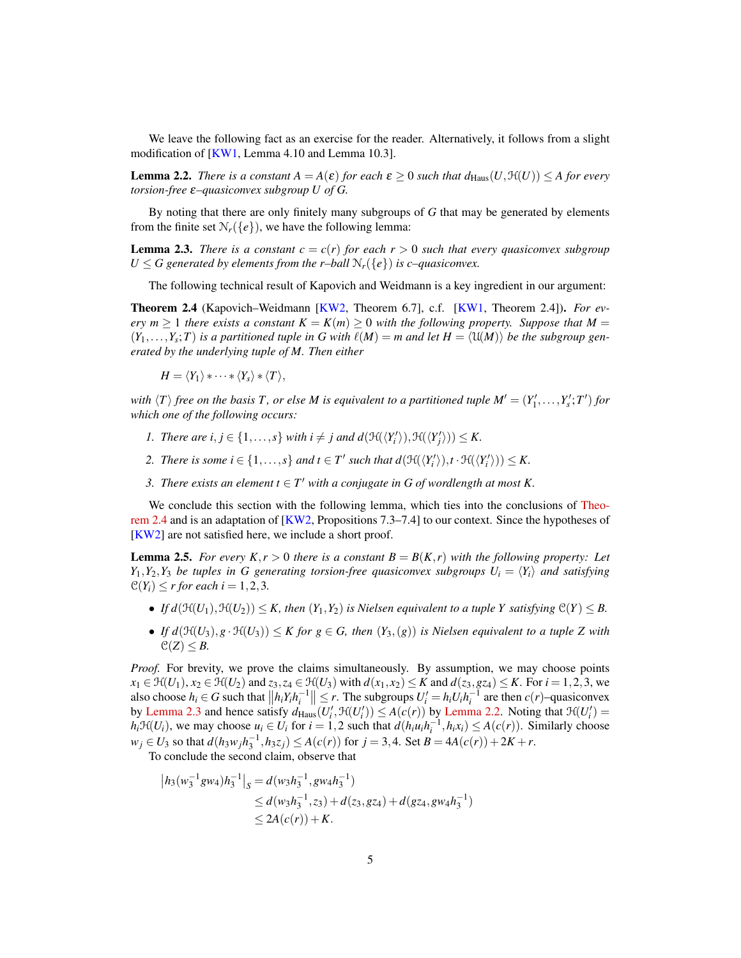We leave the following fact as an exercise for the reader. Alternatively, it follows from a slight modification of  $[KW1, Lemma 4.10$  $[KW1, Lemma 4.10$  and Lemma 10.3].

<span id="page-4-2"></span>**Lemma 2.2.** *There is a constant*  $A = A(\varepsilon)$  *for each*  $\varepsilon \ge 0$  *such that*  $d_{\text{Haus}}(U, \mathcal{H}(U)) \le A$  *for every torsion-free* ε*–quasiconvex subgroup U of G.*

By noting that there are only finitely many subgroups of *G* that may be generated by elements from the finite set  $\mathcal{N}_r({e})$ , we have the following lemma:

<span id="page-4-1"></span>**Lemma 2.3.** *There is a constant*  $c = c(r)$  *for each*  $r > 0$  *such that every quasiconvex subgroup U*  $\le$  *G* generated by elements from the r–ball  $\mathcal{N}_r$ ({ $e$ }) is c–quasiconvex.

The following technical result of Kapovich and Weidmann is a key ingredient in our argument:

<span id="page-4-0"></span>Theorem 2.4 (Kapovich–Weidmann [\[KW2,](#page-8-1) Theorem 6.7], c.f. [\[KW1,](#page-8-2) Theorem 2.4]). *For every*  $m \geq 1$  *there exists a constant*  $K = K(m) \geq 0$  *with the following property. Suppose that*  $M =$  $(Y_1,...,Y_s;T)$  *is a partitioned tuple in G with*  $\ell(M) = m$  *and let*  $H = \langle \mathfrak{U}(M) \rangle$  *be the subgroup generated by the underlying tuple of M. Then either*

$$
H = \langle Y_1 \rangle * \cdots * \langle Y_s \rangle * \langle T \rangle,
$$

with  $\langle T \rangle$  *free on the basis* T, *or else M is equivalent to a partitioned tuple*  $M' = (Y'_1, \ldots, Y'_s; T')$  *for which one of the following occurs:*

- *1. There are i,*  $j \in \{1, ..., s\}$  *with*  $i \neq j$  *and*  $d(\mathcal{H}(\langle Y'_{i} \rangle), \mathcal{H}(\langle Y'_{j} \rangle)) \leq K$ *.*
- *2. There is some*  $i \in \{1, ..., s\}$  *and*  $t \in T'$  *such that*  $d(\mathcal{H}(\langle Y'_i \rangle), t \cdot \mathcal{H}(\langle Y'_i \rangle)) \leq K$ *.*
- *3.* There exists an element  $t \in T'$  with a conjugate in G of wordlength at most K.

We conclude this section with the following lemma, which ties into the conclusions of [Theo](#page-4-0)[rem 2.4](#page-4-0) and is an adaptation of [\[KW2,](#page-8-1) Propositions 7.3–7.4] to our context. Since the hypotheses of [\[KW2\]](#page-8-1) are not satisfied here, we include a short proof.

<span id="page-4-3"></span>**Lemma 2.5.** *For every K,r*  $> 0$  *there is a constant B* =  $B(K,r)$  *with the following property: Let Y*<sub>1</sub>,*Y*<sub>2</sub>,*Y*<sub>3</sub> *be tuples in G generating torsion-free quasiconvex subgroups*  $U_i = \langle Y_i \rangle$  *and satisfying*  $C(Y_i) \leq r$  *for each*  $i = 1, 2, 3$ *.* 

- *If d*( $\mathcal{H}(U_1), \mathcal{H}(U_2)$ )  $\leq K$ , then  $(Y_1, Y_2)$  is Nielsen equivalent to a tuple Y satisfying  $\mathcal{C}(Y) \leq B$ .
- If  $d(\mathcal{H}(U_3), g \cdot \mathcal{H}(U_3)) \leq K$  for  $g \in G$ , then  $(Y_3,(g))$  is Nielsen equivalent to a tuple Z with  $\mathcal{C}(Z) \leq B$ .

*Proof.* For brevity, we prove the claims simultaneously. By assumption, we may choose points *x*<sub>1</sub> ∈  $\mathfrak{H}(U_1)$ , *x*<sub>2</sub> ∈  $\mathfrak{H}(U_2)$  and *z*<sub>3</sub>, *z*<sub>4</sub> ∈  $\mathfrak{H}(U_3)$  with  $d(x_1, x_2)$  ≤ *K* and  $d(z_3, gz_4)$  ≤ *K*. For *i* = 1,2,3, we also choose  $h_i \in G$  such that  $||h_i Y_i h_i^{-1}|| \leq r$ . The subgroups  $U'_i = h_i U_i h_i^{-1}$  are then  $c(r)$ -quasiconvex by [Lemma 2.3](#page-4-1) and hence satisfy  $d_{\text{Haus}}(U'_i, \mathcal{H}(U'_i)) \leq A(c(r))$  by [Lemma 2.2.](#page-4-2) Noting that  $\mathcal{H}(U'_i)$  =  $h_i \mathcal{H}(U_i)$ , we may choose  $u_i \in U_i$  for  $i = 1, 2$  such that  $d(h_i u_i h_i^{-1}, h_i x_i) \leq A(c(r))$ . Similarly choose  $w_j \in U_3$  so that  $d(h_3w_jh_3^{-1}, h_3z_j) \leq A(c(r))$  for  $j = 3, 4$ . Set  $B = 4A(c(r)) + 2K + r$ .

To conclude the second claim, observe that

$$
|h_3(w_3^{-1}gw_4)h_3^{-1}|_S = d(w_3h_3^{-1}, gw_4h_3^{-1})
$$
  
\n
$$
\leq d(w_3h_3^{-1}, z_3) + d(z_3, gz_4) + d(gz_4, gw_4h_3^{-1})
$$
  
\n
$$
\leq 2A(c(r)) + K.
$$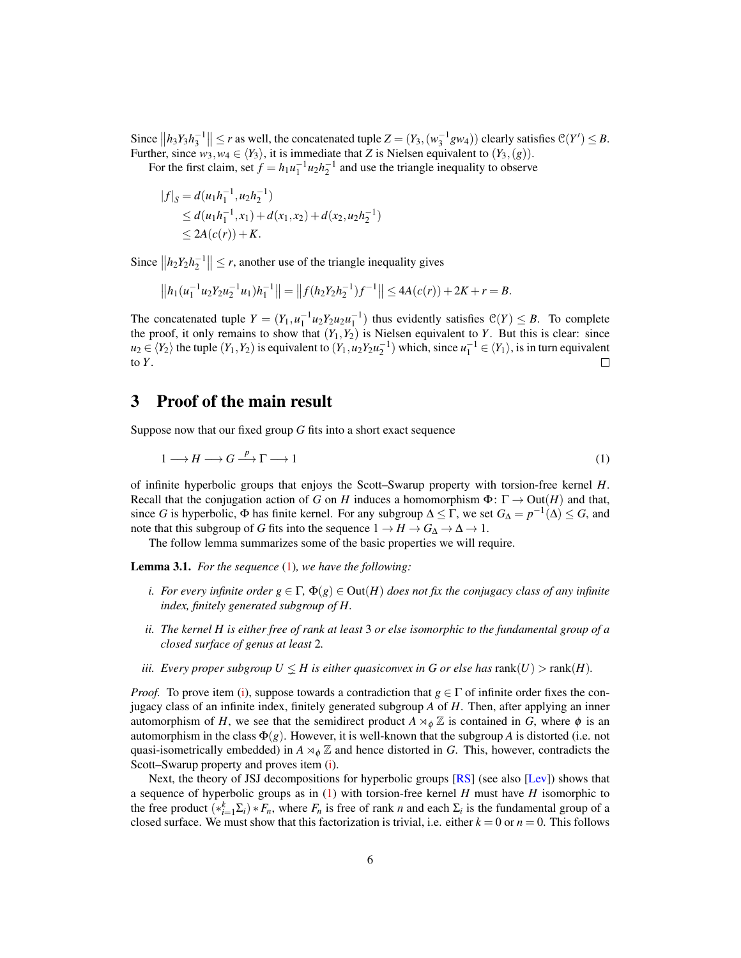Since  $||h_3Y_3h_3^{-1}|| \le r$  as well, the concatenated tuple  $Z = (Y_3,(w_3^{-1}gw_4))$  clearly satisfies  $\mathcal{C}(Y') \le B$ . Further, since  $w_3, w_4 \in \langle Y_3 \rangle$ , it is immediate that *Z* is Nielsen equivalent to  $(Y_3,(g))$ .

For the first claim, set  $f = h_1 u_1^{-1} u_2 h_2^{-1}$  and use the triangle inequality to observe

$$
|f|_S = d(u_1h_1^{-1}, u_2h_2^{-1})
$$
  
\n
$$
\leq d(u_1h_1^{-1}, x_1) + d(x_1, x_2) + d(x_2, u_2h_2^{-1})
$$
  
\n
$$
\leq 2A(c(r)) + K.
$$

Since  $||h_2 Y_2 h_2^{-1}|| \le r$ , another use of the triangle inequality gives

$$
||h_1(u_1^{-1}u_2Y_2u_2^{-1}u_1)h_1^{-1}|| = ||f(h_2Y_2h_2^{-1})f^{-1}|| \le 4A(c(r)) + 2K + r = B.
$$

The concatenated tuple  $Y = (Y_1, u_1^{-1}u_2Y_2u_2u_1^{-1})$  thus evidently satisfies  $\mathcal{C}(Y) \leq B$ . To complete the proof, it only remains to show that  $(Y_1, Y_2)$  is Nielsen equivalent to *Y*. But this is clear: since  $u_2 \in \langle Y_2 \rangle$  the tuple  $(Y_1, Y_2)$  is equivalent to  $(Y_1, u_2 Y_2 u_2^{-1})$  which, since  $u_1^{-1} \in \langle Y_1 \rangle$ , is in turn equivalent to *Y*. П

## 3 Proof of the main result

Suppose now that our fixed group *G* fits into a short exact sequence

<span id="page-5-2"></span>
$$
1 \longrightarrow H \longrightarrow G \stackrel{p}{\longrightarrow} \Gamma \longrightarrow 1 \tag{1}
$$

of infinite hyperbolic groups that enjoys the Scott–Swarup property with torsion-free kernel *H*. Recall that the conjugation action of *G* on *H* induces a homomorphism  $\Phi: \Gamma \to \text{Out}(H)$  and that, since *G* is hyperbolic,  $\Phi$  has finite kernel. For any subgroup  $\Delta \leq \Gamma$ , we set  $G_{\Delta} = p^{-1}(\Delta) \leq G$ , and note that this subgroup of *G* fits into the sequence  $1 \rightarrow H \rightarrow G_{\Delta} \rightarrow \Delta \rightarrow 1$ .

The follow lemma summarizes some of the basic properties we will require.

<span id="page-5-3"></span><span id="page-5-0"></span>Lemma 3.1. *For the sequence* [\(1\)](#page-5-2)*, we have the following:*

- *i.* For every infinite order  $g \in \Gamma$ ,  $\Phi(g) \in \text{Out}(H)$  does not fix the conjugacy class of any infinite *index, finitely generated subgroup of H.*
- <span id="page-5-4"></span>*ii. The kernel H is either free of rank at least* 3 *or else isomorphic to the fundamental group of a closed surface of genus at least* 2*.*
- <span id="page-5-1"></span>*iii. Every proper subgroup*  $U \leq H$  *is either quasiconvex in G or else has* rank $(U)$  > rank $(H)$ *.*

*Proof.* To prove item [\(i\)](#page-5-3), suppose towards a contradiction that  $g \in \Gamma$  of infinite order fixes the conjugacy class of an infinite index, finitely generated subgroup *A* of *H*. Then, after applying an inner automorphism of *H*, we see that the semidirect product  $A \rtimes_{\phi} \mathbb{Z}$  is contained in *G*, where  $\phi$  is an automorphism in the class  $\Phi(g)$ . However, it is well-known that the subgroup *A* is distorted (i.e. not quasi-isometrically embedded) in  $A \rtimes_{\phi} \mathbb{Z}$  and hence distorted in *G*. This, however, contradicts the Scott–Swarup property and proves item [\(i\)](#page-5-3).

Next, the theory of JSJ decompositions for hyperbolic groups [\[RS\]](#page-9-4) (see also [\[Lev\]](#page-8-15)) shows that a sequence of hyperbolic groups as in [\(1\)](#page-5-2) with torsion-free kernel *H* must have *H* isomorphic to the free product  $(*_{i=1}^k \Sigma_i) * F_n$ , where  $F_n$  is free of rank *n* and each  $\Sigma_i$  is the fundamental group of a closed surface. We must show that this factorization is trivial, i.e. either  $k = 0$  or  $n = 0$ . This follows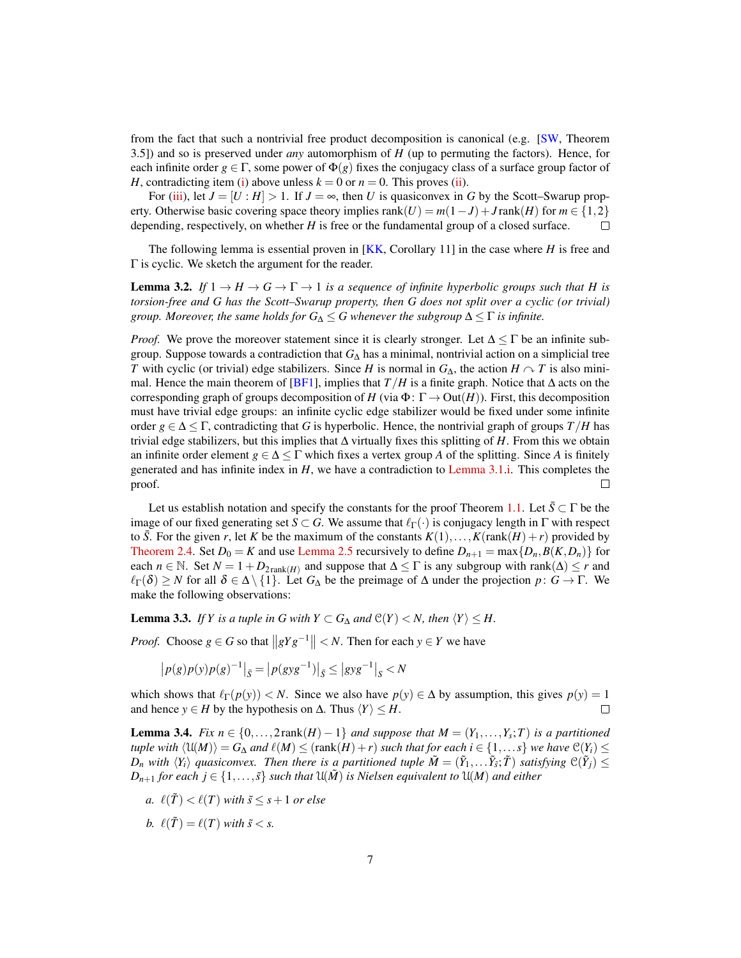from the fact that such a nontrivial free product decomposition is canonical (e.g.  $\langle SN,$  Theorem 3.5]) and so is preserved under *any* automorphism of *H* (up to permuting the factors). Hence, for each infinite order  $g \in \Gamma$ , some power of  $\Phi(g)$  fixes the conjugacy class of a surface group factor of *H*, contradicting item [\(i\)](#page-5-3) above unless  $k = 0$  or  $n = 0$ . This proves [\(ii\)](#page-5-4).

For [\(iii\)](#page-5-1), let  $J = [U : H] > 1$ . If  $J = \infty$ , then *U* is quasiconvex in *G* by the Scott–Swarup property. Otherwise basic covering space theory implies rank(*U*) =  $m(1-J) + J \text{rank}(H)$  for  $m \in \{1,2\}$ depending, respectively, on whether *H* is free or the fundamental group of a closed surface.  $\Box$ 

The following lemma is essential proven in [\[KK,](#page-8-16) Corollary 11] in the case where *H* is free and Γ is cyclic. We sketch the argument for the reader.

<span id="page-6-0"></span>**Lemma 3.2.** If  $1 \rightarrow H \rightarrow G \rightarrow \Gamma \rightarrow 1$  is a sequence of infinite hyperbolic groups such that H is *torsion-free and G has the Scott–Swarup property, then G does not split over a cyclic (or trivial) group. Moreover, the same holds for*  $G_{\Delta} \leq G$  whenever the subgroup  $\Delta \leq \Gamma$  *is infinite.* 

*Proof.* We prove the moreover statement since it is clearly stronger. Let  $\Delta \leq \Gamma$  be an infinite subgroup. Suppose towards a contradiction that  $G_{\Lambda}$  has a minimal, nontrivial action on a simplicial tree *T* with cyclic (or trivial) edge stabilizers. Since *H* is normal in  $G_{\Delta}$ , the action *H*  $\sim$  *T* is also mini-mal. Hence the main theorem of [\[BF1\]](#page-7-3), implies that *T*/*H* is a finite graph. Notice that  $\Delta$  acts on the corresponding graph of groups decomposition of *H* (via  $\Phi$ :  $\Gamma \rightarrow$  Out(*H*)). First, this decomposition must have trivial edge groups: an infinite cyclic edge stabilizer would be fixed under some infinite order  $g \in \Delta \leq \Gamma$ , contradicting that *G* is hyperbolic. Hence, the nontrivial graph of groups  $T/H$  has trivial edge stabilizers, but this implies that ∆ virtually fixes this splitting of *H*. From this we obtain an infinite order element  $g \in \Delta \leq \Gamma$  which fixes a vertex group *A* of the splitting. Since *A* is finitely generated and has infinite index in  $H$ , we have a contradiction to [Lemma 3.1.](#page-5-0)[i.](#page-5-3) This completes the proof.  $\Box$ 

Let us establish notation and specify the constants for the proof Theorem [1.1.](#page-0-0) Let  $\bar{S} \subset \Gamma$  be the image of our fixed generating set *S*  $\subset$  *G*. We assume that  $\ell_{\Gamma}(\cdot)$  is conjugacy length in Γ with respect to  $\bar{S}$ . For the given *r*, let *K* be the maximum of the constants  $K(1),...,K(\text{rank}(H)+r)$  provided by [Theorem 2.4.](#page-4-0) Set  $D_0 = K$  and use [Lemma 2.5](#page-4-3) recursively to define  $D_{n+1} = \max\{D_n, B(K, D_n)\}$  for each *n* ∈ N. Set  $N = 1 + D_{2\text{rank}(H)}$  and suppose that  $\Delta \leq \Gamma$  is any subgroup with rank( $\Delta$ )  $\leq r$  and  $\ell_{\Gamma}(\delta) \geq N$  for all  $\delta \in \Delta \setminus \{1\}$ . Let  $G_{\Delta}$  be the preimage of  $\Delta$  under the projection  $p: G \to \Gamma$ . We make the following observations:

<span id="page-6-1"></span>**Lemma 3.3.** *If Y is a tuple in G with*  $Y \subset G_{\Delta}$  *and*  $\mathcal{C}(Y) < N$ *, then*  $\langle Y \rangle \leq H$ *.* 

*Proof.* Choose  $g \in G$  so that  $||gYg^{-1}|| < N$ . Then for each  $y \in Y$  we have

$$
|p(g)p(y)p(g)^{-1}|_{\bar{S}} = |p(gyg^{-1})|_{\bar{S}} \le |gyg^{-1}|_{S} < N
$$

which shows that  $\ell_{\Gamma}(p(y)) < N$ . Since we also have  $p(y) \in \Delta$  by assumption, this gives  $p(y) = 1$ and hence *y* ∈ *H* by the hypothesis on  $\Delta$ . Thus  $\langle Y \rangle \leq H$ .  $\Box$ 

<span id="page-6-2"></span>**Lemma 3.4.** *Fix*  $n \in \{0, \ldots, 2 \text{rank}(H) - 1\}$  *and suppose that*  $M = (Y_1, \ldots, Y_s; T)$  *is a partitioned tuple with*  $\langle U(M) \rangle = G_\Delta$  *and*  $\ell(M) \leq$  (rank $(H) + r$ ) *such that for each i* ∈ {1,...*s*} *we have*  $\mathcal{C}(Y_i) \leq$ *D<sub>n</sub>* with  $\langle Y_i \rangle$  quasiconvex. Then there is a partitioned tuple  $\tilde{M} = (\tilde{Y}_1, \ldots, \tilde{Y}_{\tilde{s}}; \tilde{T})$  satisfying  $\mathcal{C}(\tilde{Y}_j) \leq$ *D*<sub>*n*+1</sub> *for each*  $j \in \{1, \ldots, \tilde{s}\}$  *such that*  $U(\tilde{M})$  *is Nielsen equivalent to*  $U(M)$  *and either* 

- <span id="page-6-3"></span>*a.*  $\ell(\tilde{T}) < \ell(T)$  *with*  $\tilde{s} \leq s + 1$  *or else*
- <span id="page-6-4"></span>*b.*  $\ell(\tilde{T}) = \ell(T)$  *with*  $\tilde{s} < s$ .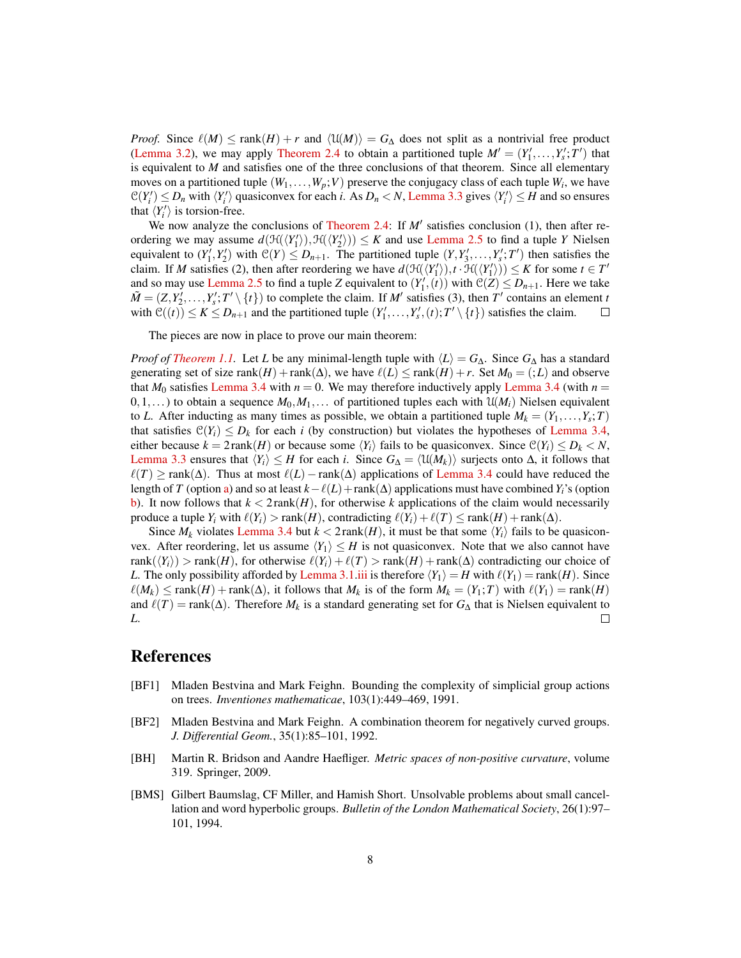*Proof.* Since  $\ell(M) \le \text{rank}(H) + r$  and  $\langle \mathfrak{U}(M) \rangle = G_\Delta$  does not split as a nontrivial free product [\(Lemma 3.2\)](#page-6-0), we may apply [Theorem 2.4](#page-4-0) to obtain a partitioned tuple  $M' = (Y'_1, \ldots, Y'_s; T')$  that is equivalent to *M* and satisfies one of the three conclusions of that theorem. Since all elementary moves on a partitioned tuple  $(W_1, \ldots, W_p; V)$  preserve the conjugacy class of each tuple  $W_i$ , we have  $\mathcal{C}(Y_i') \leq D_n$  with  $\langle Y_i' \rangle$  quasiconvex for each *i*. As  $D_n < N$ , [Lemma 3.3](#page-6-1) gives  $\langle Y_i' \rangle \leq H$  and so ensures that  $\langle Y_i' \rangle$  is torsion-free.

We now analyze the conclusions of [Theorem 2.4:](#page-4-0) If  $M'$  satisfies conclusion (1), then after reordering we may assume  $d(\mathcal{H}(\langle Y_1' \rangle), \mathcal{H}(\langle Y_2' \rangle)) \leq K$  and use [Lemma 2.5](#page-4-3) to find a tuple *Y* Nielsen equivalent to  $(Y'_1, Y'_2)$  with  $\mathcal{C}(Y) \leq D_{n+1}$ . The partitioned tuple  $(Y, Y'_3, \ldots, Y'_s; T')$  then satisfies the claim. If *M* satisfies (2), then after reordering we have  $d(\mathcal{H}(\langle Y_1' \rangle), t \cdot \mathcal{H}(\langle Y_1' \rangle)) \le K$  for some  $t \in T'$ and so may use [Lemma 2.5](#page-4-3) to find a tuple *Z* equivalent to  $(Y'_1, (t))$  with  $\mathcal{C}(Z) \leq D_{n+1}$ . Here we take  $\tilde{M} = (Z, Y_2', \dots, Y_s'; T' \setminus \{t\})$  to complete the claim. If *M'* satisfies (3), then *T'* contains an element *t* with  $\mathcal{C}((t)) \le K \le D_{n+1}$  and the partitioned tuple  $(Y'_1, \ldots, Y'_s, (t); T' \setminus \{t\})$  satisfies the claim.  $\Box$ 

The pieces are now in place to prove our main theorem:

*Proof of [Theorem 1.1.](#page-0-0)* Let *L* be any minimal-length tuple with  $\langle L \rangle = G_{\Delta}$ . Since  $G_{\Delta}$  has a standard generating set of size rank $(H)$  + rank $(\Delta)$ , we have  $\ell(L) \leq \text{rank}(H) + r$ . Set  $M_0 = (.; L)$  and observe that  $M_0$  satisfies [Lemma 3.4](#page-6-2) with  $n = 0$ . We may therefore inductively apply Lemma 3.4 (with  $n =$  $0,1,...$ ) to obtain a sequence  $M_0, M_1,...$  of partitioned tuples each with  $\mathfrak{U}(M_i)$  Nielsen equivalent to *L*. After inducting as many times as possible, we obtain a partitioned tuple  $M_k = (Y_1, \ldots, Y_s; T)$ that satisfies  $\mathcal{C}(Y_i) \leq D_k$  for each *i* (by construction) but violates the hypotheses of [Lemma 3.4,](#page-6-2) either because  $k = 2$  rank(*H*) or because some  $\langle Y_i \rangle$  fails to be quasiconvex. Since  $\mathcal{C}(Y_i) \leq D_k < N$ , [Lemma 3.3](#page-6-1) ensures that  $\langle Y_i \rangle \leq H$  for each *i*. Since  $G_{\Delta} = \langle \mathfrak{U}(M_k) \rangle$  surjects onto  $\Delta$ , it follows that  $\ell(T) \geq$  rank( $\Delta$ ). Thus at most  $\ell(L)$  – rank( $\Delta$ ) applications of [Lemma 3.4](#page-6-2) could have reduced the length of *T* (option [a\)](#page-6-3) and so at least  $k-\ell(L)+rank(\Delta)$  applications must have combined *Y<sub>i</sub>*'s (option [b\)](#page-6-4). It now follows that  $k < 2$  rank $(H)$ , for otherwise k applications of the claim would necessarily produce a tuple  $Y_i$  with  $\ell(Y_i) > \text{rank}(H)$ , contradicting  $\ell(Y_i) + \ell(T) \leq \text{rank}(H) + \text{rank}(\Delta)$ .

Since  $M_k$  violates [Lemma 3.4](#page-6-2) but  $k < 2$  rank $(H)$ , it must be that some  $\langle Y_i \rangle$  fails to be quasiconvex. After reordering, let us assume  $\langle Y_1 \rangle \leq H$  is not quasiconvex. Note that we also cannot have rank( $\langle Y_i \rangle$ ) > rank(*H*), for otherwise  $\ell(Y_i) + \ell(T)$  > rank(*H*) + rank( $\Delta$ ) contradicting our choice of *L*. The only possibility afforded by [Lemma 3.1.](#page-5-0)[iii](#page-5-1) is therefore  $\langle Y_1 \rangle = H$  with  $\ell(Y_1) = \text{rank}(H)$ . Since  $\ell(M_k) \leq \text{rank}(H) + \text{rank}(\Delta)$ , it follows that  $M_k$  is of the form  $M_k = (Y_1; T)$  with  $\ell(Y_1) = \text{rank}(H)$ and  $\ell(T) = \text{rank}(\Delta)$ . Therefore  $M_k$  is a standard generating set for  $G_{\Delta}$  that is Nielsen equivalent to *L*.  $\Box$ 

#### References

- <span id="page-7-3"></span>[BF1] Mladen Bestvina and Mark Feighn. Bounding the complexity of simplicial group actions on trees. *Inventiones mathematicae*, 103(1):449–469, 1991.
- <span id="page-7-1"></span>[BF2] Mladen Bestvina and Mark Feighn. A combination theorem for negatively curved groups. *J. Differential Geom.*, 35(1):85–101, 1992.
- <span id="page-7-2"></span>[BH] Martin R. Bridson and Aandre Haefliger. *Metric spaces of non-positive curvature*, volume 319. Springer, 2009.
- <span id="page-7-0"></span>[BMS] Gilbert Baumslag, CF Miller, and Hamish Short. Unsolvable problems about small cancellation and word hyperbolic groups. *Bulletin of the London Mathematical Society*, 26(1):97– 101, 1994.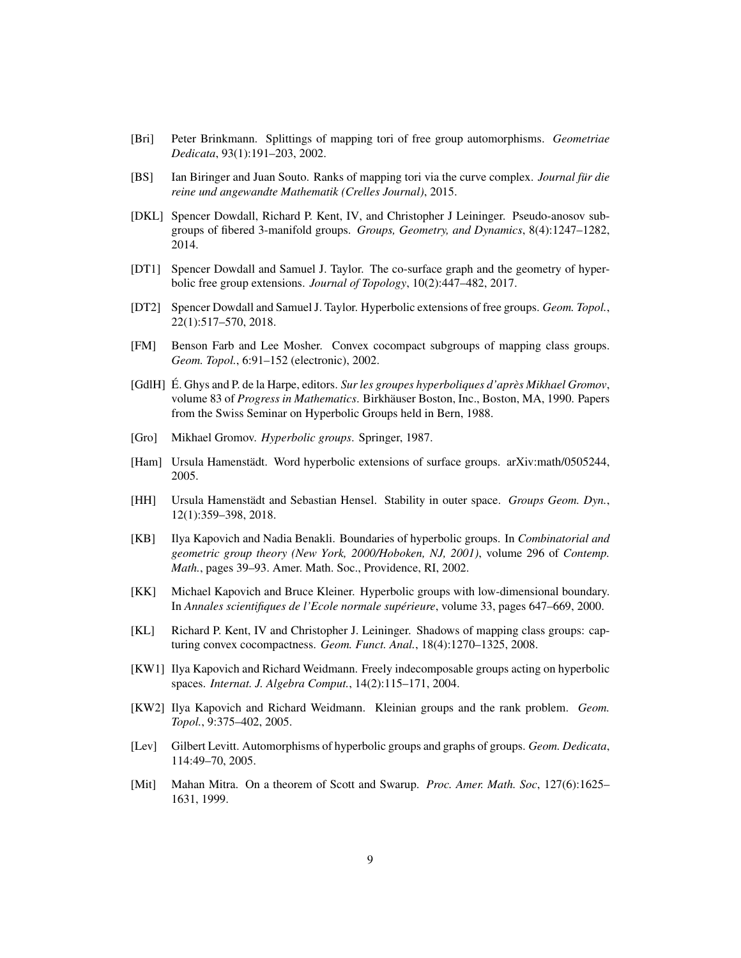- <span id="page-8-11"></span>[Bri] Peter Brinkmann. Splittings of mapping tori of free group automorphisms. *Geometriae Dedicata*, 93(1):191–203, 2002.
- <span id="page-8-0"></span>[BS] Ian Biringer and Juan Souto. Ranks of mapping tori via the curve complex. *Journal für die reine und angewandte Mathematik (Crelles Journal)*, 2015.
- <span id="page-8-9"></span>[DKL] Spencer Dowdall, Richard P. Kent, IV, and Christopher J Leininger. Pseudo-anosov subgroups of fibered 3-manifold groups. *Groups, Geometry, and Dynamics*, 8(4):1247–1282, 2014.
- <span id="page-8-8"></span>[DT1] Spencer Dowdall and Samuel J. Taylor. The co-surface graph and the geometry of hyperbolic free group extensions. *Journal of Topology*, 10(2):447–482, 2017.
- <span id="page-8-6"></span>[DT2] Spencer Dowdall and Samuel J. Taylor. Hyperbolic extensions of free groups. *Geom. Topol.*, 22(1):517–570, 2018.
- <span id="page-8-3"></span>[FM] Benson Farb and Lee Mosher. Convex cocompact subgroups of mapping class groups. *Geom. Topol.*, 6:91–152 (electronic), 2002.
- <span id="page-8-14"></span>[GdlH] É. Ghys and P. de la Harpe, editors. *Sur les groupes hyperboliques d'après Mikhael Gromov*, volume 83 of *Progress in Mathematics*. Birkhäuser Boston, Inc., Boston, MA, 1990. Papers from the Swiss Seminar on Hyperbolic Groups held in Bern, 1988.
- <span id="page-8-13"></span>[Gro] Mikhael Gromov. *Hyperbolic groups*. Springer, 1987.
- <span id="page-8-4"></span>[Ham] Ursula Hamenstädt. Word hyperbolic extensions of surface groups. arXiv:math/0505244, 2005.
- <span id="page-8-7"></span>[HH] Ursula Hamenstädt and Sebastian Hensel. Stability in outer space. *Groups Geom. Dyn.*, 12(1):359–398, 2018.
- <span id="page-8-12"></span>[KB] Ilya Kapovich and Nadia Benakli. Boundaries of hyperbolic groups. In *Combinatorial and geometric group theory (New York, 2000/Hoboken, NJ, 2001)*, volume 296 of *Contemp. Math.*, pages 39–93. Amer. Math. Soc., Providence, RI, 2002.
- <span id="page-8-16"></span>[KK] Michael Kapovich and Bruce Kleiner. Hyperbolic groups with low-dimensional boundary. In *Annales scientifiques de l'Ecole normale supérieure*, volume 33, pages 647–669, 2000.
- <span id="page-8-5"></span>[KL] Richard P. Kent, IV and Christopher J. Leininger. Shadows of mapping class groups: capturing convex cocompactness. *Geom. Funct. Anal.*, 18(4):1270–1325, 2008.
- <span id="page-8-2"></span>[KW1] Ilya Kapovich and Richard Weidmann. Freely indecomposable groups acting on hyperbolic spaces. *Internat. J. Algebra Comput.*, 14(2):115–171, 2004.
- <span id="page-8-1"></span>[KW2] Ilya Kapovich and Richard Weidmann. Kleinian groups and the rank problem. *Geom. Topol.*, 9:375–402, 2005.
- <span id="page-8-15"></span>[Lev] Gilbert Levitt. Automorphisms of hyperbolic groups and graphs of groups. *Geom. Dedicata*, 114:49–70, 2005.
- <span id="page-8-10"></span>[Mit] Mahan Mitra. On a theorem of Scott and Swarup. *Proc. Amer. Math. Soc*, 127(6):1625– 1631, 1999.